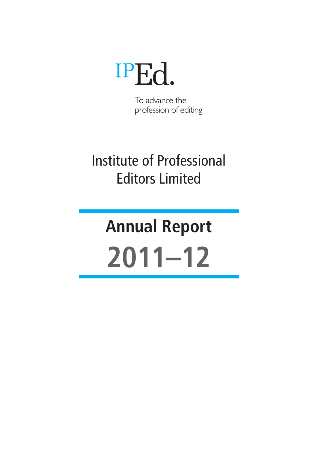# IPEd.

To advance the profession of editing

## Institute of Professional Editors Limited

# **Annual Report 2011–12**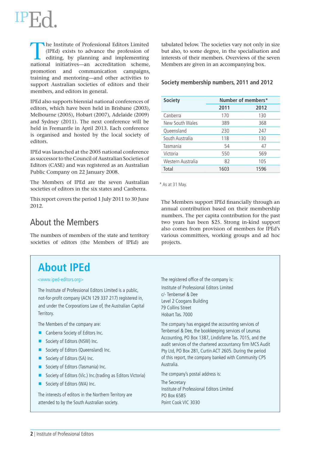The Institute of Professional Editors Limited (IPEd) exists to advance the profession of editing, by planning and implementing patienal initiatives an accreditation scheme (IPEd) exists to advance the profession of national initiatives—an accreditation scheme, promotion and communication campaigns, training and mentoring—and other activities to support Australian societies of editors and their members, and editors in general.

IPEd also supports biennial national conferences of editors, which have been held in Brisbane (2003), Melbourne (2005), Hobart (2007), Adelaide (2009) and Sydney (2011). The next conference will be held in Fremantle in April 2013. Each conference is organised and hosted by the local society of editors.

IPEd was launched at the 2005 national conference as successor to the Council of Australian Societies of Editors (CASE) and was registered as an Australian Public Company on 22 January 2008.

The Members of IPEd are the seven Australian societies of editors in the six states and Canberra.

This report covers the period 1 July 2011 to 30 June 2012.

## About the Members

The numbers of members of the state and territory societies of editors (the Members of IPEd) are

tabulated below. The societies vary not only in size but also, to some degree, in the specialisation and interests of their members. Overviews of the seven Members are given in an accompanying box.

#### **Society membership numbers, 2011 and 2012**

| <b>Society</b>    | Number of members* |      |
|-------------------|--------------------|------|
|                   | 2011               | 2012 |
| Canberra          | 170                | 130  |
| New South Wales   | 389                | 368  |
| Queensland        | 230                | 247  |
| South Australia   | 118                | 130  |
| Tasmania          | 54                 | 47   |
| Victoria          | 550                | 569  |
| Western Australia | 82                 | 105  |
| Total             | 1603               | 1596 |

\* As at 31 May.

The Members support IPEd financially through an annual contribution based on their membership numbers. The per capita contribution for the past two years has been \$25. Strong in-kind support also comes from provision of members for IPEd's various committees, working groups and ad hoc projects.

## **About IPEd**

#### <www.iped-editors.org>

The Institute of Professional Editors Limited is a public, not-for-profit company (ACN 129 337 217) registered in, and under the Corporations Law of, the Australian Capital Territory.

The Members of the company are:

- $\blacksquare$  Canberra Society of Editors Inc.
- Society of Editors (NSW) Inc.
- Society of Editors (Queensland) Inc.
- $\blacksquare$  Society of Editors (SA) Inc.
- Society of Editors (Tasmania) Inc.
- Society of Editors (Vic.) Inc. (trading as Editors Victoria)
- $\blacksquare$  Society of Editors (WA) Inc.

The interests of editors in the Northern Territory are attended to by the South Australian society.

The registered office of the company is:

Institute of Professional Editors Limited c/- Tenbensel & Dee Level 2 Coogans Building 79 Collins Street Hobart Tas. 7000

The company has engaged the accounting services of Tenbensel & Dee, the bookkeeping services of Leumas Accounting, PO Box 1387, Lindisfarne Tas. 7015, and the audit services of the chartered accountancy firm MCS Audit Pty Ltd, PO Box 281, Curtin ACT 2605. During the period of this report, the company banked with Community CPS Australia.

The company's postal address is:

The Secretary Institute of Professional Editors Limited PO Box 6585 Point Cook VIC 3030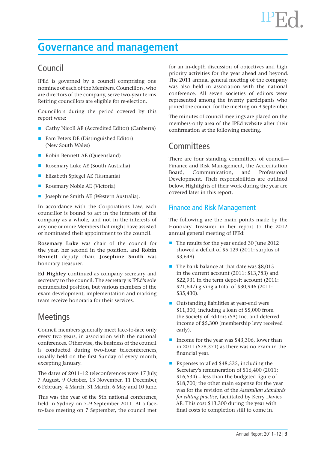## **Governance and management**

## Council

IPEd is governed by a council comprising one nominee of each of the Members. Councillors, who are directors of the company, serve two-year terms. Retiring councillors are eligible for re-election.

Councillors during the period covered by this report were:

- Cathy Nicoll AE (Accredited Editor) (Canberra)
- **Pam Peters DE (Distinguished Editor)** (New South Wales)
- Robin Bennett AE (Queensland)
- Rosemary Luke AE (South Australia)
- Elizabeth Spiegel AE (Tasmania)
- Rosemary Noble AE (Victoria)
- $\blacksquare$  Josephine Smith AE (Western Australia).

In accordance with the Corporations Law, each councillor is bound to act in the interests of the company as a whole, and not in the interests of any one or more Members that might have assisted or nominated their appointment to the council.

**Rosemary Luke** was chair of the council for the year, her second in the position, and **Robin Bennett** deputy chair. **Josephine Smith** was honorary treasurer.

**Ed Highley** continued as company secretary and secretary to the council. The secretary is IPEd's sole remunerated position, but various members of the exam development, implementation and marking team receive honoraria for their services.

## Meetings

Council members generally meet face-to-face only every two years, in association with the national conferences. Otherwise, the business of the council is conducted during two-hour teleconferences, usually held on the first Sunday of every month, excepting January.

The dates of 2011–12 teleconferences were 17 July, 7 August, 9 October, 13 November, 11 December, 6 February, 4 March, 31 March, 6 May and 10 June.

This was the year of the 5th national conference, held in Sydney on 7–9 September 2011. At a faceto-face meeting on 7 September, the council met

for an in-depth discussion of objectives and high priority activities for the year ahead and beyond. The 2011 annual general meeting of the company was also held in association with the national conference. All seven societies of editors were represented among the twenty participants who joined the council for the meeting on 9 September.

The minutes of council meetings are placed on the members-only area of the IPEd website after their confirmation at the following meeting.

## **Committees**

There are four standing committees of council— Finance and Risk Management, the Accreditation Board, Communication, and Professional Development. Their responsibilities are outlined below. Highlights of their work during the year are covered later in this report.

### Finance and Risk Management

The following are the main points made by the Honorary Treasurer in her report to the 2012 annual general meeting of IPEd:

- The results for the year ended 30 June 2012 showed a deficit of \$5,129 (2011: surplus of \$3,648).
- $\blacksquare$  The bank balance at that date was \$8,015 in the current account (2011: \$13,783) and \$22,931 in the term deposit account (2011: \$21,647) giving a total of \$30,946 (2011: \$35,430).
- $\blacksquare$  Outstanding liabilities at year-end were \$11,300, including a loan of \$5,000 from the Society of Editors (SA) Inc. and deferred income of \$5,300 (membership levy received early).
- Income for the year was  $$43,306$ , lower than in 2011 (\$78,371) as there was no exam in the financial year.
- Expenses totalled \$48,535, including the Secretary's remuneration of \$16,400 (2011: \$16,534) – less than the budgeted figure of \$18,700; the other main expense for the year was for the revision of the *Australian standards for editing practice*, facilitated by Kerry Davies AE. This cost \$13,300 during the year with final costs to completion still to come in.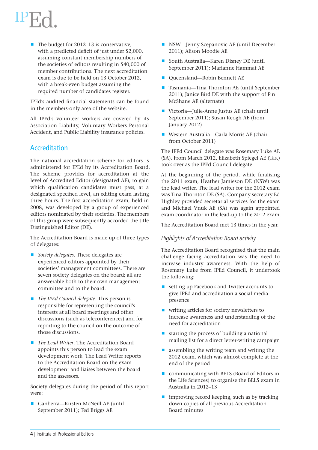$\blacksquare$  The budget for 2012–13 is conservative. with a predicted deficit of just under \$2,000, assuming constant membership numbers of the societies of editors resulting in \$40,000 of member contributions. The next accreditation exam is due to be held on 13 October 2012, with a break-even budget assuming the required number of candidates register.

IPEd's audited financial statements can be found in the members-only area of the website.

All IPEd's volunteer workers are covered by its Association Liability, Voluntary Workers Personal Accident, and Public Liability insurance policies.

### **Accreditation**

The national accreditation scheme for editors is administered for IPEd by its Accreditation Board. The scheme provides for accreditation at the level of Accredited Editor (designated AE), to gain which qualification candidates must pass, at a designated specified level, an editing exam lasting three hours. The first accreditation exam, held in 2008, was developed by a group of experienced editors nominated by their societies. The members of this group were subsequently accorded the title Distinguished Editor (DE).

The Accreditation Board is made up of three types of delegates:

- *Society delegates*. These delegates are experienced editors appointed by their societies' management committees. There are seven society delegates on the board; all are answerable both to their own management committee and to the board.
- *The IPEd Council delegate*. This person is responsible for representing the council's interests at all board meetings and other discussions (such as teleconferences) and for reporting to the council on the outcome of those discussions.
- Q *The Lead Writer*. The Accreditation Board appoints this person to lead the exam development work. The Lead Writer reports to the Accreditation Board on the exam development and liaises between the board and the assessors.

Society delegates during the period of this report were:

■ Canberra—Kirsten McNeill AE (until September 2011); Ted Briggs AE

- $\blacksquare$  NSW—Jenny Scepanovic AE (until December 2011); Alison Moodie AE
- South Australia—Karen Disney DE (until September 2011); Marianne Hammat AE
- Queensland—Robin Bennett AE
- Tasmania—Tina Thornton AE (until September 2011); Janice Bird DE with the support of Fin McShane AE (alternate)
- Victoria—Julie-Anne Justus AE (chair until September 2011); Susan Keogh AE (from January 2012)
- Western Australia—Carla Morris AE (chair from October 2011)

The IPEd Council delegate was Rosemary Luke AE (SA). From March 2012, Elizabeth Spiegel AE (Tas.) took over as the IPEd Council delegate.

At the beginning of the period, while finalising the 2011 exam, Heather Jamieson DE (NSW) was the lead writer. The lead writer for the 2012 exam was Tina Thornton DE (SA). Company secretary Ed Highley provided secretarial services for the exam and Michael Vnuk AE (SA) was again appointed exam coordinator in the lead-up to the 2012 exam.

The Accreditation Board met 13 times in the year.

#### Highlights of Accreditation Board activity

The Accreditation Board recognised that the main challenge facing accreditation was the need to increase industry awareness. With the help of Rosemary Luke from IPEd Council, it undertook the following:

- setting up Facebook and Twitter accounts to give IPEd and accreditation a social media presence
- writing articles for society newsletters to increase awareness and understanding of the need for accreditation
- $\blacksquare$  starting the process of building a national mailing list for a direct letter-writing campaign
- $\blacksquare$  assembling the writing team and writing the 2012 exam, which was almost complete at the end of the period
- communicating with BELS (Board of Editors in the Life Sciences) to organise the BELS exam in Australia in 2012–13
- $\blacksquare$  improving record keeping, such as by tracking down copies of all previous Accreditation Board minutes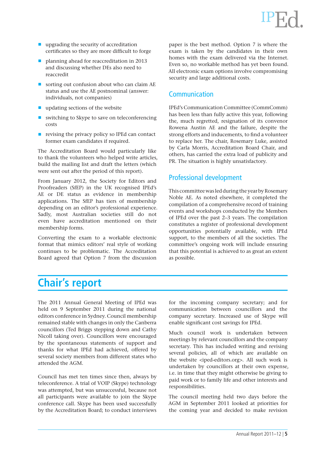- upgrading the security of accreditation certificates so they are more difficult to forge
- **D** planning ahead for reaccreditation in 2013 and discussing whether DEs also need to reaccredit
- $\blacksquare$  sorting out confusion about who can claim AE status and use the AE postnominal (answer: individuals, not companies)
- updating sections of the website
- $\blacksquare$  switching to Skype to save on teleconferencing costs
- $\blacksquare$  revising the privacy policy so IPEd can contact former exam candidates if required.

The Accreditation Board would particularly like to thank the volunteers who helped write articles, build the mailing list and draft the letters (which were sent out after the period of this report).

From January 2012, the Society for Editors and Proofreaders (SfEP) in the UK recognised IPEd's AE or DE status as evidence in membership applications. The SfEP has tiers of membership depending on an editor's professional experience. Sadly, most Australian societies still do not even have accreditation mentioned on their membership forms.

Converting the exam to a workable electronic format that mimics editors' real style of working continues to be problematic. The Accreditation Board agreed that Option 7 from the discussion

paper is the best method. Option 7 is where the exam is taken by the candidates in their own homes with the exam delivered via the Internet. Even so, no workable method has yet been found. All electronic exam options involve compromising security and large additional costs.

### Communication

IPEd's Communication Committee (CommComm) has been less than fully active this year, following the, much regretted, resignation of its convenor Rowena Austin AE and the failure, despite the strong efforts and inducements, to find a volunteer to replace her. The chair, Rosemary Luke, assisted by Carla Morris, Accreditation Board Chair, and others, has carried the extra load of publicity and PR. The situation is highly unsatisfactory.

### Professional development

This committee was led during the year by Rosemary Noble AE. As noted elsewhere, it completed the compilation of a comprehensive record of training events and workshops conducted by the Members of IPEd over the past 2–3 years. The compilation constitutes a register of professional development opportunities potentially available, with IPEd support, to the members of all the societies. The committee's ongoing work will include ensuring that this potential is achieved to as great an extent as possible.

## **Chair's report**

The 2011 Annual General Meeting of IPEd was held on 9 September 2011 during the national editors conference in Sydney. Council membership remained stable with changes in only the Canberra councillors (Ted Briggs stepping down and Cathy Nicoll taking over). Councillors were encouraged by the spontaneous statements of support and thanks for what IPEd had achieved, offered by several society members from different states who attended the AGM.

Council has met ten times since then, always by teleconference. A trial of VOIP (Skype) technology was attempted, but was unsuccessful, because not all participants were available to join the Skype conference call. Skype has been used successfully by the Accreditation Board; to conduct interviews for the incoming company secretary; and for communication between councillors and the company secretary. Increased use of Skype will enable significant cost savings for IPEd.

Much council work is undertaken between meetings by relevant councillors and the company secretary. This has included writing and revising several policies, all of which are available on the website <iped-editors.org>. All such work is undertaken by councillors at their own expense, i.e. in time that they might otherwise be giving to paid work or to family life and other interests and responsibilities.

The council meeting held two days before the AGM in September 2011 looked at priorities for the coming year and decided to make revision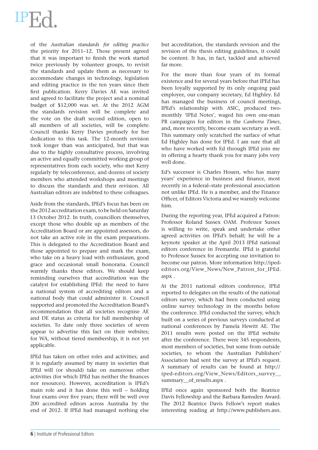# $IPE_0$

of the *Australian standards for editing practice* the priority for 2011–12. Those present agreed that it was important to finish the work started twice previously by volunteer groups, to revisit the standards and update them as necessary to accommodate changes in technology, legislation and editing practice in the ten years since their first publication. Kerry Davies AE was invited and agreed to facilitate the project and a nominal budget of \$12,000 was set. At the 2012 AGM the standards revision will be complete and the vote on the draft second edition, open to all members of all societies, will be complete. Council thanks Kerry Davies profusely for her dedication to this task. The 12-month revision took longer than was anticipated, but that was due to the highly consultative process, involving an active and equally committed working group of representatives from each society, who met Kerry regularly by teleconference, and dozens of society members who attended workshops and meetings to discuss the standards and their revision. All Australian editors are indebted to these colleagues.

Aside from the standards, IPEd's focus has been on the 2012 accreditation exam, to be held on Saturday 13 October 2012. In truth, councillors themselves, except those who double up as members of the Accreditation Board or are appointed assessors, do not take an active role in the exam preparations. This is delegated to the Accreditation Board and those appointed to prepare and mark the exam, who take on a heavy load with enthusiasm, good grace and occasional small honoraria. Council warmly thanks these editors. We should keep reminding ourselves that accreditation was the catalyst for establishing IPEd: the need to have a national system of accrediting editors and a national body that could administer it. Council supported and promoted the Accreditation Board's recommendation that all societies recognise AE and DE status as criteria for full membership of societies. To date only three societies of seven appear to advertise this fact on their websites; for WA, without tiered membership, it is not yet applicable.

IPEd has taken on other roles and activities; and it is regularly assumed by many in societies that IPEd will (or should) take on numerous other activities (for which IPEd has neither the finances nor resources). However, accreditation is IPEd's main role and it has done this well – holding four exams over five years; there will be well over 200 accredited editors across Australia by the end of 2012. If IPEd had managed nothing else but accreditation, the standards revision and the revision of the thesis editing guidelines, it could be content. It has, in fact, tackled and achieved far more.

For the more than four years of its formal existence and for several years before that IPEd has been loyally supported by its only ongoing paid employee, our company secretary, Ed Highley. Ed has managed the business of council meetings, IPEd's relationship with ASIC, produced twomonthly 'IPEd Notes', waged his own one-man PR campaigns for editors in the *Canberra Times*, and, more recently, become exam secretary as well. This summary only scratched the surface of what Ed Highley has done for IPEd. I am sure that all who have worked with Ed through IPEd join me in offering a hearty thank you for many jobs very well done.

Ed's successor is Charles Houen, who has many years' experience in business and finance, most recently in a federal–state professional association not unlike IPEd. He is a member, and the Finance Officer, of Editors Victoria and we warmly welcome him.

During the reporting year, IPEd acquired a Patron: Professor Roland Sussex OAM. Professor Sussex is willing to write, speak and undertake other agreed activities on IPEd's behalf; he will be a keynote speaker at the April 2013 IPEd national editors conference in Fremantle. IPEd is grateful to Professor Sussex for accepting our invitation to become our patron. More information http://ipededitors.org/View\_News/New\_Patron\_for\_IPEd. aspx .

At the 2011 national editors conference, IPEd reported to delegates on the results of the national editors survey, which had been conducted using online survey technology in the months before the conference. IPEd conducted the survey, which built on a series of previous surveys conducted at national conferences by Pamela Hewitt AE. The 2011 results were posted on the IPEd website after the conference. There were 345 respondents, most members of societies, but some from outside societies, to whom the Australian Publishers' Association had sent the survey at IPEd's request. A summary of results can be found at http:// iped-editors.org/View\_News/Editors\_survey\_\_ summary of results.aspx.

IPEd once again sponsored both the Beatrice Davis Fellowship and the Barbara Ramsden Award. The 2012 Beatrice Davis Fellow's report makes interesting reading at http://www.publishers.asn.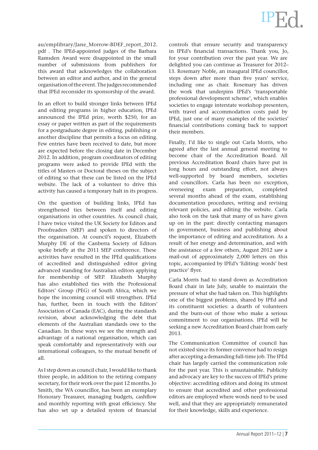au/emplibrary/Jane\_Morrow-BDEF\_report\_2012. pdf . The IPEd-appointed judges of the Barbara Ramsden Award were disappointed in the small number of submissions from publishers for this award that acknowledges the collaboration between an editor and author, and in the general organisation of the event. The judges recommended that IPEd reconsider its sponsorship of the award.

In an effort to build stronger links between IPEd and editing programs in higher education, IPEd announced the IPEd prize, worth \$250, for an essay or paper written as part of the requirements for a postgraduate degree in editing, publishing or another discipline that permits a focus on editing. Few entries have been received to date, but more are expected before the closing date in December 2012. In addition, program coordinators of editing programs were asked to provide IPEd with the titles of Masters or Doctoral theses on the subject of editing so that these can be listed on the IPEd website. The lack of a volunteer to drive this activity has caused a temporary halt in its progress.

On the question of building links, IPEd has strengthened ties between itself and editing organisations in other countries. As council chair, I have twice visited the UK Society for Editors and Proofreaders (SfEP) and spoken to directors of the organisation. At council's request, Elizabeth Murphy DE of the Canberra Society of Editors spoke briefly at the 2011 SfEP conference. These activities have resulted in the IPEd qualifications of accredited and distinguished editor giving advanced standing for Australian editors applying for membership of SfEP. Elizabeth Murphy has also established ties with the Professional Editors' Group (PEG) of South Africa, which we hope the incoming council will strengthen. IPEd has, further, been in touch with the Editors' Association of Canada (EAC), during the standards revision, about acknowledging the debt that elements of the Australian standards owe to the Canadian. In these ways we see the strength and advantage of a national organisation, which can speak comfortably and representatively with our international colleagues, to the mutual benefit of all.

As I step down as council chair, I would like to thank three people, in addition to the retiring company secretary, for their work over the past 12 months. Jo Smith, the WA councillor, has been an exemplary Honorary Treasurer, managing budgets, cashflow and monthly reporting with great efficiency. She has also set up a detailed system of financial

controls that ensure security and transparency in IPEd's financial transactions. Thank you, Jo, for your contribution over the past year. We are delighted you can continue as Treasurer for 2012– 13. Rosemary Noble, an inaugural IPEd councillor, steps down after more than five years' service, including one as chair. Rosemary has driven the work that underpins IPEd's 'transportable professional development scheme', which enables societies to engage interstate workshop presenters, with travel and accommodation costs paid by IPEd, just one of many examples of the societies' financial contributions coming back to support their members.

Finally, I'd like to single out Carla Morris, who agreed after the last annual general meeting to become chair of the Accreditation Board. All previous Accreditation Board chairs have put in long hours and outstanding effort, not always well-supported by board members, societies and councillors. Carla has been no exception, overseeing exam preparation, completed several months ahead of the exam, establishing documentation procedures, writing and revising relevant policies, and editing the website. Carla also took on the task that many of us have given up on in the past: directly contacting managers in government, business and publishing about the importance of editing and accreditation. As a result of her energy and determination, and with the assistance of a few others, August 2012 saw a mail-out of approximately 2,000 letters on this topic, accompanied by IPEd's 'Editing: words' best practice' flyer.

Carla Morris had to stand down as Accreditation Board chair in late July, unable to maintain the pressure of what she had taken on. This highlights one of the biggest problems, shared by IPEd and its constituent societies: a dearth of volunteers and the burn-out of those who make a serious commitment to our organisations. IPEd will be seeking a new Accreditation Board chair from early 2013.

The Communication Committee of council has not existed since its former convenor had to resign after accepting a demanding full-time job. The IPEd chair has largely carried the communication role for the past year. This is unsustainable. Publicity and advocacy are key to the success of IPEd's prime objective: accrediting editors and doing its utmost to ensure that accredited and other professional editors are employed where words need to be used well, and that they are appropriately remunerated for their knowledge, skills and experience.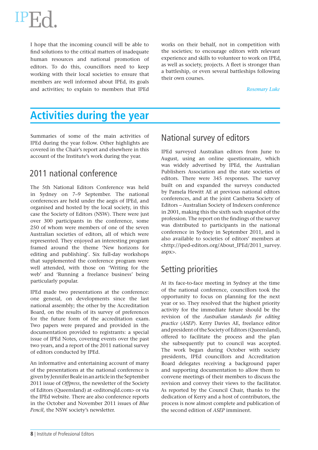

I hope that the incoming council will be able to find solutions to the critical matters of inadequate human resources and national promotion of editors. To do this, councillors need to keep working with their local societies to ensure that members are well informed about IPEd, its goals and activities; to explain to members that IPEd works on their behalf, not in competition with the societies; to encourage editors with relevant experience and skills to volunteer to work on IPEd, as well as society, projects. A fleet is stronger than a battleship, or even several battleships following their own courses.

#### *Rosemary Luke*

## **Activities during the year**

Summaries of some of the main activities of IPEd during the year follow. Other highlights are covered in the Chair's report and elsewhere in this account of the Institute's work during the year.

## 2011 national conference

The 5th National Editors Conference was held in Sydney on 7–9 September. The national conferences are held under the aegis of IPEd, and organised and hosted by the local society, in this case the Society of Editors (NSW). There were just over 300 participants in the conference, some 250 of whom were members of one of the seven Australian societies of editors, all of which were represented. They enjoyed an interesting program framed around the theme 'New horizons for editing and publishing'. Six full-day workshops that supplemented the conference program were well attended, with those on 'Writing for the web' and 'Running a freelance business' being particularly popular.

IPEd made two presentations at the conference: one general, on developments since the last national assembly; the other by the Accreditation Board, on the results of its survey of preferences for the future form of the accreditation exam. Two papers were prepared and provided in the documentation provided to registrants: a special issue of IPEd Notes, covering events over the past two years, and a report of the 2011 national survey of editors conducted by IPEd.

An informative and entertaining account of many of the presentations at the national conference is given by Jennifer Beale in an article in the September 2011 issue of *Offpress*, the newsletter of the Society of Editors (Queensland) at <editorsqld.com> or via the IPEd website. There are also conference reports in the October and November 2011 issues of *Blue Pencil*, the NSW society's newsletter.

## National survey of editors

IPEd surveyed Australian editors from June to August, using an online questionnaire, which was widely advertised by IPEd, the Australian Publishers Association and the state societies of editors. There were 345 responses. The survey built on and expanded the surveys conducted by Pamela Hewitt AE at previous national editors conferences, and at the joint Canberra Society of Editors – Australian Society of Indexers conference in 2001, making this the sixth such snapshot of the profession. The report on the findings of the survey was distributed to participants in the national conference in Sydney in September 2011, and is also available to societies of editors' members at <http://iped-editors.org/About\_IPEd/2011\_survey. aspx>.

## Setting priorities

At its face-to-face meeting in Sydney at the time of the national conference, councillors took the opportunity to focus on planning for the next year or so. They resolved that the highest priority activity for the immediate future should be the revision of the *Australian standards for editing practice* (*ASEP*). Kerry Davies AE, freelance editor and president of the Society of Editors (Queensland), offered to facilitate the process and the plan she subsequently put to council was accepted. The work began during October with society presidents, IPEd councillors and Accreditation Board delegates receiving a background paper and supporting documentation to allow them to convene meetings of their members to discuss the revision and convey their views to the facilitator. As reported by the Council Chair, thanks to the dedication of Kerry and a host of contributors, the process is now almost complete and publication of the second edition of *ASEP* imminent.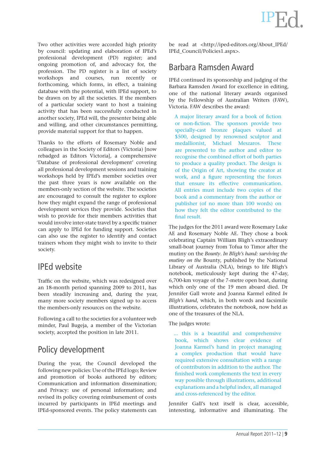Two other activities were accorded high priority by council: updating and elaboration of IPEd's professional development (PD) register; and ongoing promotion of, and advocacy for, the profession. The PD register is a list of society workshops and courses, run recently or forthcoming, which forms, in effect, a training database with the potential, with IPEd support, to be drawn on by all the societies. If the members of a particular society want to host a training activity that has been successfully conducted in another society, IPEd will, the presenter being able and willing, and other circumstances permitting, provide material support for that to happen.

Thanks to the efforts of Rosemary Noble and colleagues in the Society of Editors (Victoria) [now rebadged as Editors Victoria], a comprehensive 'Database of professional development' covering all professional development sessions and training workshops held by IPEd's member societies over the past three years is now available on the members-only section of the website. The societies are encouraged to consult the register to explore how they might expand the range of professional development services they provide. Societies that wish to provide for their members activities that would involve inter-state travel by a specific trainer can apply to IPEd for funding support. Societies can also use the register to identify and contact trainers whom they might wish to invite to their society.

## IPEd website

Traffic on the website, which was redesigned over an 18-month period spanning 2009 to 2011, has been steadily increasing and, during the year, many more society members signed up to access the members-only resources on the website.

Following a call to the societies for a volunteer web minder, Paul Bugeja, a member of the Victorian society, accepted the position in late 2011.

## Policy development

During the year, the Council developed the following new policies: Use of the IPEd logo; Review and promotion of books authored by editors; Communication and information dissemination; and Privacy: use of personal information; and revised its policy covering reimbursement of costs incurred by participants in IPEd meetings and IPEd-sponsored events. The policy statements can be read at <http://iped-editors.org/About\_IPEd/ IPEd\_Council/Policies1.aspx>.

## Barbara Ramsden Award

IPEd continued its sponsorship and judging of the Barbara Ramsden Award for excellence in editing, one of the national literary awards organised by the Fellowship of Australian Writers (FAW), Victoria. FAW describes the award:

A major literary award for a book of fiction or non-fiction. The sponsors provide two specially-cast bronze plaques valued at \$500, designed by renowned sculptor and medallionist, Michael Meszaros. These are presented to the author and editor to recognise the combined effort of both parties to produce a quality product. The design is of the Origin of Art, showing the creator at work, and a figure representing the forces that ensure its effective communication. All entries must include two copies of the book and a commentary from the author or publisher (of no more than 100 words) on how they felt the editor contributed to the final result.

The judges for the 2011 award were Rosemary Luke AE and Rosemary Noble AE. They chose a book celebrating Captain William Bligh's extraordinary small-boat journey from Tofua to Timor after the mutiny on the *Bounty*. *In Bligh's hand: surviving the mutiny on the* Bounty, published by the National Library of Australia (NLA), brings to life Bligh's notebook, meticulously kept during the 47-day, 6,700-km voyage of the 7-metre open boat, during which only one of the 19 men aboard died. Dr Jennifer Gall wrote and Joanna Karmel edited *In Bligh's hand*, which, in both words and facsimile illustrations, celebrates the notebook, now held as one of the treasures of the NLA.

The judges wrote:

... this is a beautiful and comprehensive book, which shows clear evidence of Joanna Karmel's hand in project managing a complex production that would have required extensive consultation with a range of contributors in addition to the author. The finished work complements the text in every way possible through illustrations, additional explanations and a helpful index, all managed and cross-referenced by the editor.

Jennifer Gall's text itself is clear, accessible, interesting, informative and illuminating. The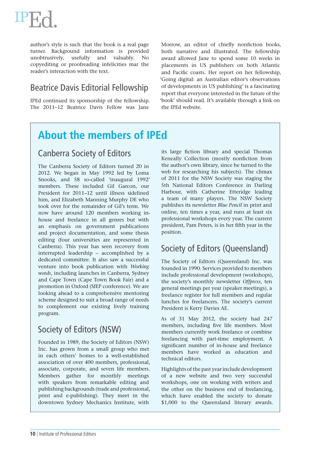author's style is such that the book is a real page turner. Background information is provided unobtrusively, usefully and valuably. No copyediting or proofreading infelicities mar the reader's interaction with the text.

## Beatrice Davis Editorial Fellowship

IPEd continued its sponsorship of the fellowship. The 2011–12 Beatrice Davis Fellow was Jane

Morrow, an editor of chiefly nonfiction books, both narrative and illustrated. The fellowship award allowed Jane to spend some 10 weeks in placements in US publishers on both Atlantic and Pacific coasts. Her report on her fellowship, 'Going digital: an Australian editor's observations of developments in US publishing' is a fascinating report that everyone interested in the future of the 'book' should read. It's available through a link on the IPEd website.

## **About the members of IPEd**

## Canberra Society of Editors

The Canberra Society of Editors turned 20 in 2012. We began in May 1992 led by Loma Snooks, and 58 so-called 'inaugural 1992' members. These included Gil Garcon, our President for 2011–12 until illness sidelined him, and Elizabeth Manning Murphy DE who took over for the remainder of Gil's term. We now have around 120 members working inhouse and freelance in all genres but with an emphasis on government publications and project documentation, and some thesis editing (four universities are represented in Canberra). This year has seen recovery from interrupted leadership – accomplished by a dedicated committee. It also saw a successful venture into book publication with *Working words*, including launches in Canberra, Sydney and Cape Town (Cape Town Book Fair) and a promotion in Oxford (SfEP conference). We are looking ahead to a comprehensive mentoring scheme designed to suit a broad range of needs to complement our existing lively training program.

## Society of Editors (NSW)

Founded in 1989, the Society of Editors (NSW) Inc. has grown from a small group who met in each others' homes to a well-established association of over 400 members, professional, associate, corporate, and seven life members. Members gather for monthly meetings with speakers from remarkable editing and publishing backgrounds (trade and professional, print and e-publishing). They meet in the downtown Sydney Mechanics Institute, with

its large fiction library and special Thomas Keneally Collection (mostly nonfiction from the author's own library, since he turned to the web for researching his subjects). The climax of 2011 for the NSW Society was staging the 5th National Editors Conference in Darling Harbour, with Catherine Etteridge leading a team of many players. The NSW Society publishes its newsletter *Blue Pencil* in print and online, ten times a year, and runs at least six professional workshops every year. The current president, Pam Peters, is in her fifth year in the position.

## Society of Editors (Queensland)

The Society of Editors (Queensland) Inc. was founded in 1990. Services provided to members include professional development (workshops), the society's monthly newsletter *Offpress*, ten general meetings per year (speaker meetings), a freelance register for full members and regular lunches for freelancers. The society's current President is Kerry Davies AE.

As of 31 May 2012, the society had 247 members, including five life members. Most members currently work freelance or combine freelancing with part-time employment. A significant number of in-house and freelance members have worked as education and technical editors.

Highlights of the past year include development of a new website and two very successful workshops, one on working with writers and the other on the business end of freelancing, which have enabled the society to donate \$1,000 to the Queensland literary awards.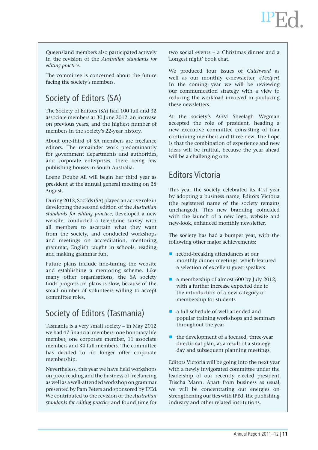Queensland members also participated actively in the revision of the *Australian standards for editing practice.*

The committee is concerned about the future facing the society's members.

## Society of Editors (SA)

The Society of Editors (SA) had 100 full and 32 associate members at 30 June 2012, an increase on previous years, and the highest number of members in the society's 22-year history.

About one-third of SA members are freelance editors. The remainder work predominantly for government departments and authorities, and corporate enterprises, there being few publishing houses in South Australia.

Loene Doube AE will begin her third year as president at the annual general meeting on 28 August.

During 2012, SocEds (SA) played an active role in developing the second edition of the *Australian standards for editing practice*, developed a new website, conducted a telephone survey with all members to ascertain what they want from the society, and conducted workshops and meetings on accreditation, mentoring, grammar, English taught in schools, reading, and making grammar fun.

Future plans include fine-tuning the website and establishing a mentoring scheme. Like many other organisations, the SA society finds progress on plans is slow, because of the small number of volunteers willing to accept committee roles.

## Society of Editors (Tasmania)

Tasmania is a very small society – in May 2012 we had 47 financial members: one honorary life member, one corporate member, 11 associate members and 34 full members. The committee has decided to no longer offer corporate membership.

Nevertheless, this year we have held workshops on proofreading and the business of freelancing as well as a well-attended workshop on grammar presented by Pam Peters and sponsored by IPEd. We contributed to the revision of the *Australian standards for editing practice* and found time for

two social events – a Christmas dinner and a 'Longest night' book chat.

We produced four issues of *Catchword* as well as our monthly e-newsletter, *eTextpert*. In the coming year we will be reviewing our communication strategy with a view to reducing the workload involved in producing these newsletters.

At the society's AGM Sheelagh Wegman accepted the role of president, heading a new executive committee consisting of four continuing members and three new. The hope is that the combination of experience and new ideas will be fruitful, because the year ahead will be a challenging one.

## Editors Victoria

This year the society celebrated its 41st year by adopting a business name, Editors Victoria (the registered name of the society remains unchanged). This new branding coincided with the launch of a new logo, website and new-look, enhanced monthly newsletter.

The society has had a bumper year, with the following other major achievements:

- record-breaking attendances at our monthly dinner meetings, which featured a selection of excellent guest speakers
- $\blacksquare$  a membership of almost 600 by July 2012, with a further increase expected due to the introduction of a new category of membership for students
- a full schedule of well-attended and popular training workshops and seminars throughout the year
- $\blacksquare$  the development of a focused, three-year directional plan, as a result of a strategy day and subsequent planning meetings.

Editors Victoria will be going into the next year with a newly invigorated committee under the leadership of our recently elected president, Trischa Mann. Apart from business as usual, we will be concentrating our energies on strengthening our ties with IPEd, the publishing industry and other related institutions.